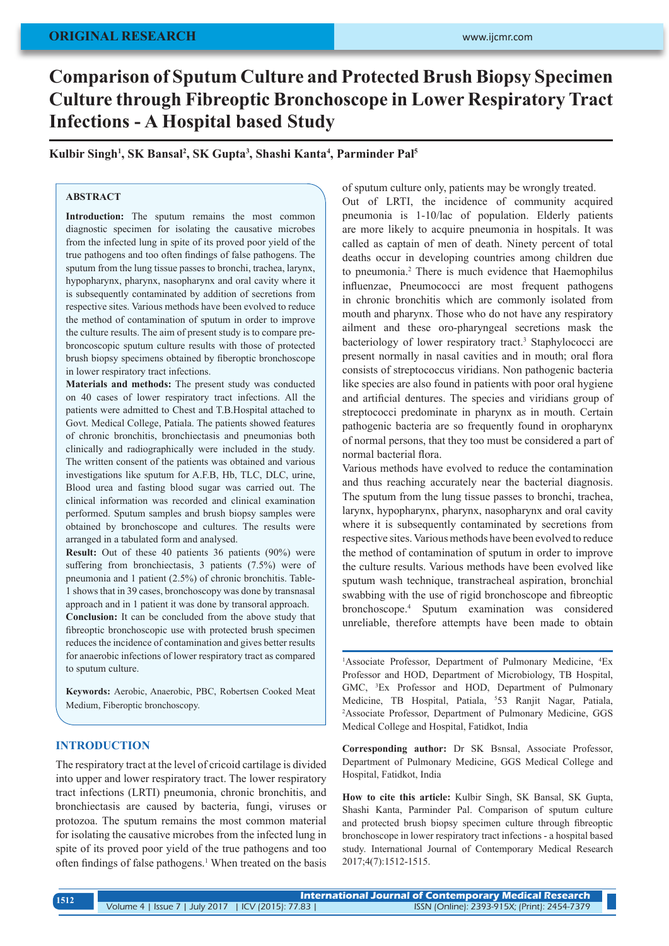# **Comparison of Sputum Culture and Protected Brush Biopsy Specimen Culture through Fibreoptic Bronchoscope in Lower Respiratory Tract Infections - A Hospital based Study**

**Kulbir Singh1 , SK Bansal2 , SK Gupta3 , Shashi Kanta4 , Parminder Pal5**

## **ABSTRACT**

Introduction: The sputum remains the most common diagnostic specimen for isolating the causative microbes from the infected lung in spite of its proved poor yield of the true pathogens and too often findings of false pathogens. The sputum from the lung tissue passes to bronchi, trachea, larynx, hypopharynx, pharynx, nasopharynx and oral cavity where it is subsequently contaminated by addition of secretions from respective sites. Various methods have been evolved to reduce the method of contamination of sputum in order to improve the culture results. The aim of present study is to compare prebroncoscopic sputum culture results with those of protected brush biopsy specimens obtained by fiberoptic bronchoscope in lower respiratory tract infections.

**Materials and methods:** The present study was conducted on 40 cases of lower respiratory tract infections. All the patients were admitted to Chest and T.B.Hospital attached to Govt. Medical College, Patiala. The patients showed features of chronic bronchitis, bronchiectasis and pneumonias both clinically and radiographically were included in the study. The written consent of the patients was obtained and various investigations like sputum for A.F.B, Hb, TLC, DLC, urine, Blood urea and fasting blood sugar was carried out. The clinical information was recorded and clinical examination performed. Sputum samples and brush biopsy samples were obtained by bronchoscope and cultures. The results were arranged in a tabulated form and analysed.

**Result:** Out of these 40 patients 36 patients (90%) were suffering from bronchiectasis, 3 patients (7.5%) were of pneumonia and 1 patient (2.5%) of chronic bronchitis. Table-1 shows that in 39 cases, bronchoscopy was done by transnasal approach and in 1 patient it was done by transoral approach.

**Conclusion:** It can be concluded from the above study that fibreoptic bronchoscopic use with protected brush specimen reduces the incidence of contamination and gives better results for anaerobic infections of lower respiratory tract as compared to sputum culture.

**Keywords:** Aerobic, Anaerobic, PBC, Robertsen Cooked Meat Medium, Fiberoptic bronchoscopy.

#### **INTRODUCTION**

The respiratory tract at the level of cricoid cartilage is divided into upper and lower respiratory tract. The lower respiratory tract infections (LRTI) pneumonia, chronic bronchitis, and bronchiectasis are caused by bacteria, fungi, viruses or protozoa. The sputum remains the most common material for isolating the causative microbes from the infected lung in spite of its proved poor yield of the true pathogens and too often findings of false pathogens.<sup>1</sup> When treated on the basis of sputum culture only, patients may be wrongly treated. Out of LRTI, the incidence of community acquired pneumonia is 1-10/lac of population. Elderly patients are more likely to acquire pneumonia in hospitals. It was called as captain of men of death. Ninety percent of total deaths occur in developing countries among children due to pneumonia.<sup>2</sup> There is much evidence that Haemophilus influenzae, Pneumococci are most frequent pathogens in chronic bronchitis which are commonly isolated from mouth and pharynx. Those who do not have any respiratory ailment and these oro-pharyngeal secretions mask the bacteriology of lower respiratory tract.<sup>3</sup> Staphylococci are present normally in nasal cavities and in mouth; oral flora consists of streptococcus viridians. Non pathogenic bacteria like species are also found in patients with poor oral hygiene and artificial dentures. The species and viridians group of streptococci predominate in pharynx as in mouth. Certain pathogenic bacteria are so frequently found in oropharynx of normal persons, that they too must be considered a part of normal bacterial flora.

Various methods have evolved to reduce the contamination and thus reaching accurately near the bacterial diagnosis. The sputum from the lung tissue passes to bronchi, trachea, larynx, hypopharynx, pharynx, nasopharynx and oral cavity where it is subsequently contaminated by secretions from respective sites. Various methods have been evolved to reduce the method of contamination of sputum in order to improve the culture results. Various methods have been evolved like sputum wash technique, transtracheal aspiration, bronchial swabbing with the use of rigid bronchoscope and fibreoptic bronchoscope.<sup>4</sup> Sputum examination was considered unreliable, therefore attempts have been made to obtain

<sup>1</sup>Associate Professor, Department of Pulmonary Medicine, <sup>4</sup>Ex Professor and HOD, Department of Microbiology, TB Hospital, GMC, <sup>3</sup> Ex Professor and HOD, Department of Pulmonary Medicine, TB Hospital, Patiala, <sup>5</sup>53 Ranjit Nagar, Patiala, 2 Associate Professor, Department of Pulmonary Medicine, GGS Medical College and Hospital, Fatidkot, India

**Corresponding author:** Dr SK Bsnsal, Associate Professor, Department of Pulmonary Medicine, GGS Medical College and Hospital, Fatidkot, India

**How to cite this article:** Kulbir Singh, SK Bansal, SK Gupta, Shashi Kanta, Parminder Pal. Comparison of sputum culture and protected brush biopsy specimen culture through fibreoptic bronchoscope in lower respiratory tract infections - a hospital based study. International Journal of Contemporary Medical Research 2017;4(7):1512-1515.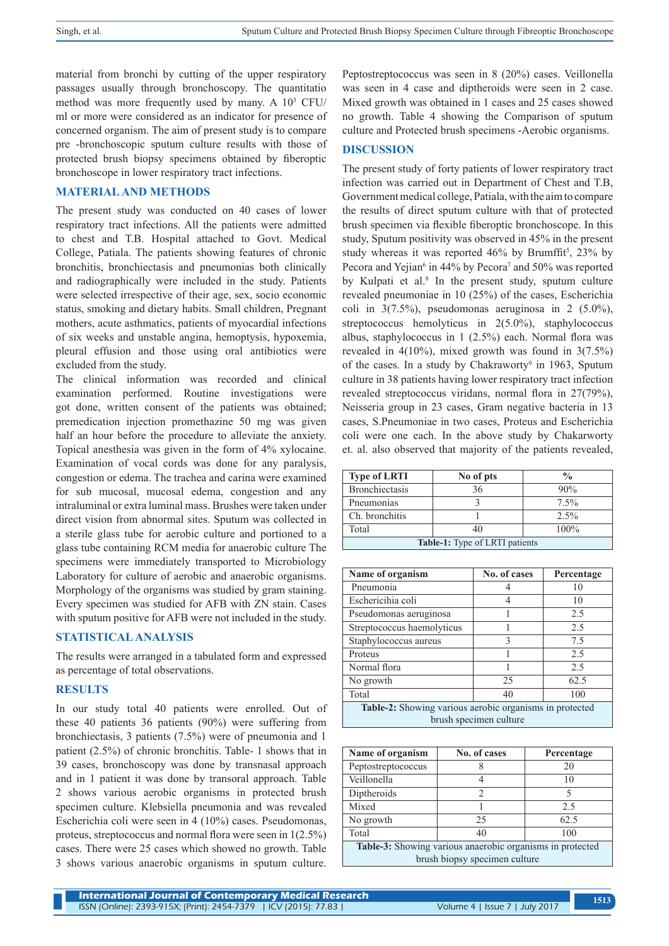material from bronchi by cutting of the upper respiratory passages usually through bronchoscopy. The quantitatio method was more frequently used by many. A  $10^3$  CFU/ ml or more were considered as an indicator for presence of concerned organism. The aim of present study is to compare pre -bronchoscopic sputum culture results with those of protected brush biopsy specimens obtained by fiberoptic bronchoscope in lower respiratory tract infections.

## **MATERIAL AND METHODS**

The present study was conducted on 40 cases of lower respiratory tract infections. All the patients were admitted to chest and T.B. Hospital attached to Govt. Medical College, Patiala. The patients showing features of chronic bronchitis, bronchiectasis and pneumonias both clinically and radiographically were included in the study. Patients were selected irrespective of their age, sex, socio economic status, smoking and dietary habits. Small children, Pregnant mothers, acute asthmatics, patients of myocardial infections of six weeks and unstable angina, hemoptysis, hypoxemia, pleural effusion and those using oral antibiotics were excluded from the study.

The clinical information was recorded and clinical examination performed. Routine investigations were got done, written consent of the patients was obtained; premedication injection promethazine 50 mg was given half an hour before the procedure to alleviate the anxiety. Topical anesthesia was given in the form of 4% xylocaine. Examination of vocal cords was done for any paralysis, congestion or edema. The trachea and carina were examined for sub mucosal, mucosal edema, congestion and any intraluminal or extra luminal mass. Brushes were taken under direct vision from abnormal sites. Sputum was collected in a sterile glass tube for aerobic culture and portioned to a glass tube containing RCM media for anaerobic culture The specimens were immediately transported to Microbiology Laboratory for culture of aerobic and anaerobic organisms. Morphology of the organisms was studied by gram staining. Every specimen was studied for AFB with ZN stain. Cases with sputum positive for AFB were not included in the study.

#### **STATISTICAL ANALYSIS**

The results were arranged in a tabulated form and expressed as percentage of total observations.

### **RESULTS**

In our study total 40 patients were enrolled. Out of these 40 patients 36 patients (90%) were suffering from bronchiectasis, 3 patients (7.5%) were of pneumonia and 1 patient (2.5%) of chronic bronchitis. Table- 1 shows that in 39 cases, bronchoscopy was done by transnasal approach and in 1 patient it was done by transoral approach. Table 2 shows various aerobic organisms in protected brush specimen culture. Klebsiella pneumonia and was revealed Escherichia coli were seen in 4 (10%) cases. Pseudomonas, proteus, streptococcus and normal flora were seen in 1(2.5%) cases. There were 25 cases which showed no growth. Table 3 shows various anaerobic organisms in sputum culture.

Peptostreptococcus was seen in 8 (20%) cases. Veillonella was seen in 4 case and diptheroids were seen in 2 case. Mixed growth was obtained in 1 cases and 25 cases showed no growth. Table 4 showing the Comparison of sputum culture and Protected brush specimens -Aerobic organisms.

#### **DISCUSSION**

The present study of forty patients of lower respiratory tract infection was carried out in Department of Chest and T.B, Government medical college, Patiala, with the aim to compare the results of direct sputum culture with that of protected brush specimen via flexible fiberoptic bronchoscope. In this study, Sputum positivity was observed in 45% in the present study whereas it was reported  $46\%$  by Brumffit<sup>5</sup>, 23% by Pecora and Yejian<sup>6</sup> in 44% by Pecora<sup>7</sup> and 50% was reported by Kulpati et al.<sup>8</sup> In the present study, sputum culture revealed pneumoniae in 10 (25%) of the cases, Escherichia coli in 3(7.5%), pseudomonas aeruginosa in 2 (5.0%), streptococcus hemolyticus in 2(5.0%), staphylococcus albus, staphylococcus in 1 (2.5%) each. Normal flora was revealed in  $4(10\%)$ , mixed growth was found in  $3(7.5\%)$ of the cases. In a study by Chakraworty<sup>9</sup> in 1963, Sputum culture in 38 patients having lower respiratory tract infection revealed streptococcus viridans, normal flora in 27(79%), Neisseria group in 23 cases, Gram negative bacteria in 13 cases, S.Pneumoniae in two cases, Proteus and Escherichia coli were one each. In the above study by Chakarworty et. al. also observed that majority of the patients revealed,

| <b>Type of LRTI</b>                   | No of pts | $\frac{0}{0}$ |  |  |
|---------------------------------------|-----------|---------------|--|--|
| Bronchiectasis                        | 36        | 90%           |  |  |
| Pneumonias                            |           | 7.5%          |  |  |
| Ch. bronchitis                        |           | $2.5\%$       |  |  |
| Total                                 |           | 100%          |  |  |
| <b>Table-1:</b> Type of LRTI patients |           |               |  |  |

| Name of organism                                        | No. of cases | Percentage |  |  |  |
|---------------------------------------------------------|--------------|------------|--|--|--|
| Pneumonia                                               |              | 10         |  |  |  |
| Eschericihia coli                                       |              | 10         |  |  |  |
| Pseudomonas aeruginosa                                  | 2.5          |            |  |  |  |
| Streptococcus haemolyticus                              |              | 2.5        |  |  |  |
| Staphylococcus aureus                                   | $\mathbf{R}$ | 75         |  |  |  |
| Proteus                                                 |              | 2.5        |  |  |  |
| Normal flora                                            |              | 2.5        |  |  |  |
| No growth                                               | 25           | 62.5       |  |  |  |
| Total                                                   | 40           | 100        |  |  |  |
| Table-2: Showing various aerobic organisms in protected |              |            |  |  |  |
| brush specimen culture                                  |              |            |  |  |  |

| Name of organism                                          | No. of cases | Percentage |  |  |  |
|-----------------------------------------------------------|--------------|------------|--|--|--|
| Peptostreptococcus                                        |              | 20         |  |  |  |
| Veillonella                                               |              | 10         |  |  |  |
| Diptheroids                                               | 2            | 5          |  |  |  |
| Mixed                                                     |              | 2.5        |  |  |  |
| No growth                                                 | 25           | 62.5       |  |  |  |
| Total                                                     | 40           | 100        |  |  |  |
| Table-3: Showing various anaerobic organisms in protected |              |            |  |  |  |
| brush biopsy specimen culture                             |              |            |  |  |  |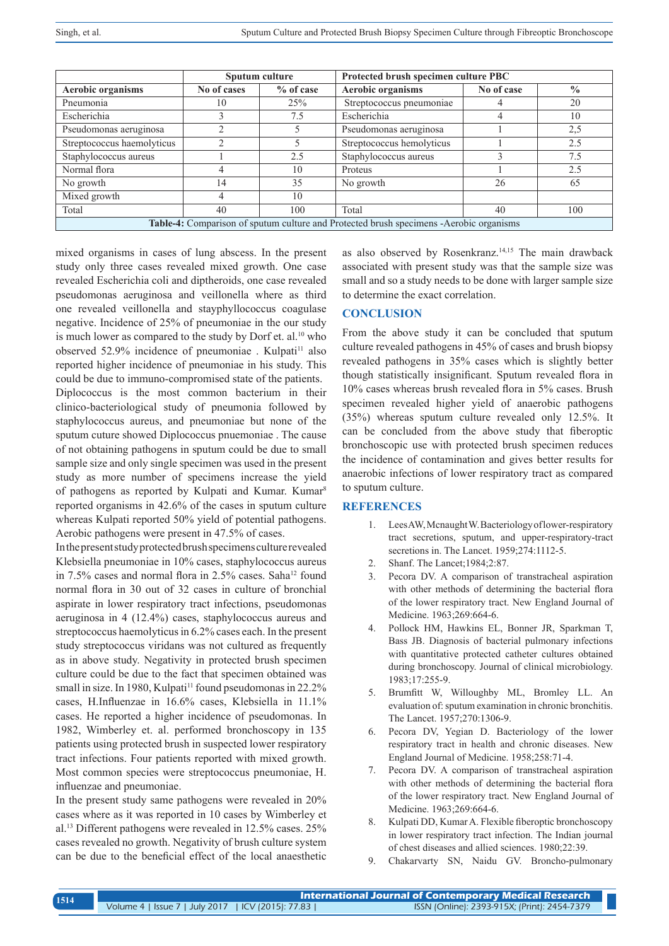|                                                                                               | Sputum culture |             | Protected brush specimen culture PBC |            |               |  |
|-----------------------------------------------------------------------------------------------|----------------|-------------|--------------------------------------|------------|---------------|--|
| <b>Aerobic organisms</b>                                                                      | No of cases    | $%$ of case | <b>Aerobic organisms</b>             | No of case | $\frac{0}{0}$ |  |
| Pneumonia                                                                                     | 10             | 25%         | Streptococcus pneumoniae             |            | 20            |  |
| Escherichia                                                                                   |                | 7.5         | Escherichia                          |            | 10            |  |
| Pseudomonas aeruginosa                                                                        |                |             | Pseudomonas aeruginosa               |            | 2,5           |  |
| Streptococcus haemolyticus                                                                    |                |             | Streptococcus hemolyticus            |            | 2.5           |  |
| Staphylococcus aureus                                                                         |                | 2.5         | Staphylococcus aureus                |            | 7.5           |  |
| Normal flora                                                                                  |                | 10          | Proteus                              |            | 2.5           |  |
| No growth                                                                                     | 14             | 35          | No growth                            | 26         | 65            |  |
| Mixed growth                                                                                  |                | 10          |                                      |            |               |  |
| Total                                                                                         | 40             | 100         | Total                                | 40         | 100           |  |
| <b>Table-4:</b> Comparison of sputum culture and Protected brush specimens -Aerobic organisms |                |             |                                      |            |               |  |

mixed organisms in cases of lung abscess. In the present study only three cases revealed mixed growth. One case revealed Escherichia coli and diptheroids, one case revealed pseudomonas aeruginosa and veillonella where as third one revealed veillonella and stayphyllococcus coagulase negative. Incidence of 25% of pneumoniae in the our study is much lower as compared to the study by Dorf et. al.<sup>10</sup> who observed 52.9% incidence of pneumoniae . Kulpati<sup>11</sup> also reported higher incidence of pneumoniae in his study. This could be due to immuno-compromised state of the patients. Diplococcus is the most common bacterium in their clinico-bacteriological study of pneumonia followed by staphylococcus aureus, and pneumoniae but none of the sputum cuture showed Diplococcus pnuemoniae . The cause of not obtaining pathogens in sputum could be due to small sample size and only single specimen was used in the present study as more number of specimens increase the yield of pathogens as reported by Kulpati and Kumar. Kumar<sup>8</sup> reported organisms in 42.6% of the cases in sputum culture whereas Kulpati reported 50% yield of potential pathogens. Aerobic pathogens were present in 47.5% of cases.

In the present study protected brush specimens culture revealed Klebsiella pneumoniae in 10% cases, staphylococcus aureus in 7.5% cases and normal flora in 2.5% cases. Saha<sup>12</sup> found normal flora in 30 out of 32 cases in culture of bronchial aspirate in lower respiratory tract infections, pseudomonas aeruginosa in 4 (12.4%) cases, staphylococcus aureus and streptococcus haemolyticus in 6.2% cases each. In the present study streptococcus viridans was not cultured as frequently as in above study. Negativity in protected brush specimen culture could be due to the fact that specimen obtained was small in size. In 1980, Kulpati<sup>11</sup> found pseudomonas in  $22.2\%$ cases, H.Influenzae in 16.6% cases, Klebsiella in 11.1% cases. He reported a higher incidence of pseudomonas. In 1982, Wimberley et. al. performed bronchoscopy in 135 patients using protected brush in suspected lower respiratory tract infections. Four patients reported with mixed growth. Most common species were streptococcus pneumoniae, H. influenzae and pneumoniae.

In the present study same pathogens were revealed in 20% cases where as it was reported in 10 cases by Wimberley et al.<sup>13</sup> Different pathogens were revealed in 12.5% cases. 25% cases revealed no growth. Negativity of brush culture system can be due to the beneficial effect of the local anaesthetic as also observed by Rosenkranz.<sup>14,15</sup> The main drawback associated with present study was that the sample size was small and so a study needs to be done with larger sample size to determine the exact correlation.

## **CONCLUSION**

From the above study it can be concluded that sputum culture revealed pathogens in 45% of cases and brush biopsy revealed pathogens in 35% cases which is slightly better though statistically insignificant. Sputum revealed flora in 10% cases whereas brush revealed flora in 5% cases. Brush specimen revealed higher yield of anaerobic pathogens (35%) whereas sputum culture revealed only 12.5%. It can be concluded from the above study that fiberoptic bronchoscopic use with protected brush specimen reduces the incidence of contamination and gives better results for anaerobic infections of lower respiratory tract as compared to sputum culture.

#### **REFERENCES**

- 1. Lees AW, Mcnaught W. Bacteriology of lower-respiratory tract secretions, sputum, and upper-respiratory-tract secretions in. The Lancet. 1959;274:1112-5.
- 2. Shanf. The Lancet;1984;2:87.
- 3. Pecora DV. A comparison of transtracheal aspiration with other methods of determining the bacterial flora of the lower respiratory tract. New England Journal of Medicine. 1963;269:664-6.
- 4. Pollock HM, Hawkins EL, Bonner JR, Sparkman T, Bass JB. Diagnosis of bacterial pulmonary infections with quantitative protected catheter cultures obtained during bronchoscopy. Journal of clinical microbiology. 1983;17:255-9.
- 5. Brumfitt W, Willoughby ML, Bromley LL. An evaluation of: sputum examination in chronic bronchitis. The Lancet. 1957;270:1306-9.
- 6. Pecora DV, Yegian D. Bacteriology of the lower respiratory tract in health and chronic diseases. New England Journal of Medicine. 1958;258:71-4.
- 7. Pecora DV. A comparison of transtracheal aspiration with other methods of determining the bacterial flora of the lower respiratory tract. New England Journal of Medicine. 1963;269:664-6.
- 8. Kulpati DD, Kumar A. Flexible fiberoptic bronchoscopy in lower respiratory tract infection. The Indian journal of chest diseases and allied sciences. 1980;22:39.
- 9. Chakarvarty SN, Naidu GV. Broncho-pulmonary